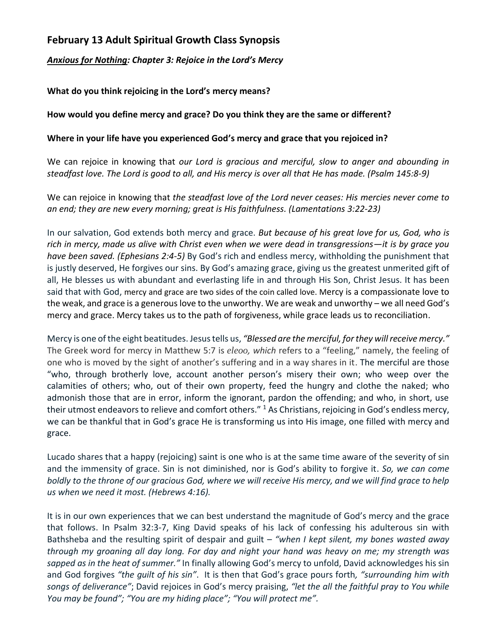## **February 13 Adult Spiritual Growth Class Synopsis**

*Anxious for Nothing: Chapter 3: Rejoice in the Lord's Mercy*

**What do you think rejoicing in the Lord's mercy means?**

**How would you define mercy and grace? Do you think they are the same or different?**

## **Where in your life have you experienced God's mercy and grace that you rejoiced in?**

We can rejoice in knowing that *our Lord is gracious and merciful, slow to anger and abounding in steadfast love. The Lord is good to all, and His mercy is over all that He has made. (Psalm 145:8-9)*

We can rejoice in knowing that *the steadfast love of the Lord never ceases: His mercies never come to an end; they are new every morning; great is His faithfulness. (Lamentations 3:22-23)* 

In our salvation, God extends both mercy and grace. *But because of his great love for us, God, who is rich in mercy, made us alive with Christ even when we were dead in transgressions—it is by grace you have been saved. (Ephesians 2:4-5)* By God's rich and endless mercy, withholding the punishment that is justly deserved, He forgives our sins. By God's amazing grace, giving us the greatest unmerited gift of all, He blesses us with abundant and everlasting life in and through His Son, Christ Jesus. It has been said that with God, mercy and grace are two sides of the coin called love. Mercy is a compassionate love to the weak, and grace is a generous love to the unworthy. We are weak and unworthy – we all need God's mercy and grace. Mercy takes us to the path of forgiveness, while grace leads us to reconciliation.

Mercy is one of the eight beatitudes. Jesus tells us, *"Blessed are the merciful, for they will receive mercy."*  The Greek word for mercy in Matthew 5:7 is *eleoo, which* refers to a "feeling," namely, the feeling of one who is moved by the sight of another's suffering and in a way shares in it. The merciful are those "who, through brotherly love, account another person's misery their own; who weep over the calamities of others; who, out of their own property, feed the hungry and clothe the naked; who admonish those that are in error, inform the ignorant, pardon the offending; and who, in short, use their utmost endeavors to relieve and comfort others." <sup>1</sup> As Christians, rejoicing in God's endless mercy, we can be thankful that in God's grace He is transforming us into His image, one filled with mercy and grace.

Lucado shares that a happy (rejoicing) saint is one who is at the same time aware of the severity of sin and the immensity of grace. Sin is not diminished, nor is God's ability to forgive it. *So, we can come boldly to the throne of our gracious God, where we will receive His mercy, and we will find grace to help us when we need it most. (Hebrews 4:16).* 

It is in our own experiences that we can best understand the magnitude of God's mercy and the grace that follows. In Psalm 32:3-7, King David speaks of his lack of confessing his adulterous sin with Bathsheba and the resulting spirit of despair and guilt – *"when I kept silent, my bones wasted away through my groaning all day long. For day and night your hand was heavy on me; my strength was sapped as in the heat of summer."* In finally allowing God's mercy to unfold, David acknowledges his sin and God forgives *"the guilt of his sin"*. It is then that God's grace pours forth*, "surrounding him with songs of deliverance"*; David rejoices in God's mercy praising, *"let the all the faithful pray to You while You may be found"; "You are my hiding place"; "You will protect me".*